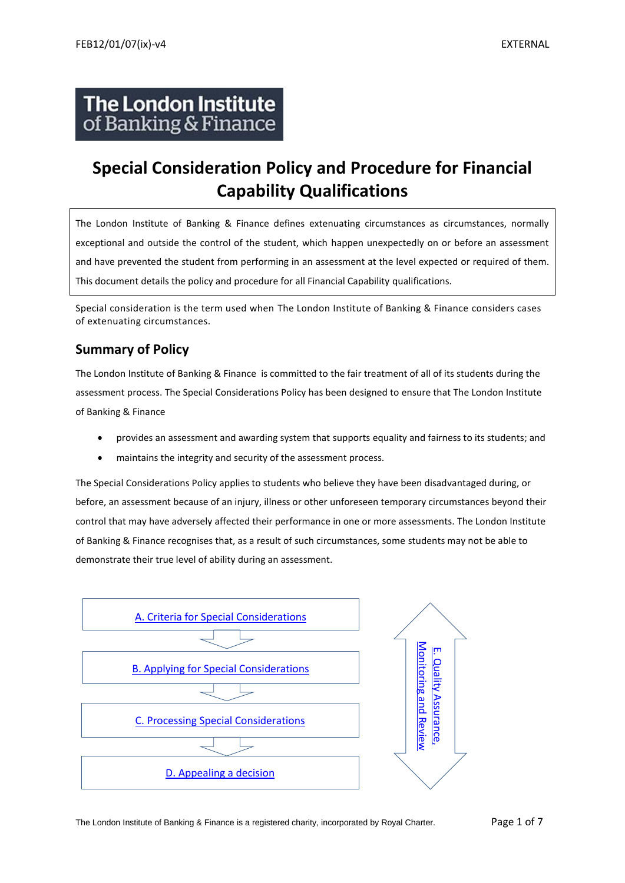# **The London Institute** of Banking & Finance

# **Special Consideration Policy and Procedure for Financial Capability Qualifications**

The London Institute of Banking & Finance defines extenuating circumstances as circumstances, normally exceptional and outside the control of the student, which happen unexpectedly on or before an assessment and have prevented the student from performing in an assessment at the level expected or required of them. This document details the policy and procedure for all Financial Capability qualifications.

Special consideration is the term used when The London Institute of Banking & Finance considers cases of extenuating circumstances.

# **Summary of Policy**

The London Institute of Banking & Finance is committed to the fair treatment of all of its students during the assessment process. The Special Considerations Policy has been designed to ensure that The London Institute of Banking & Finance

- provides an assessment and awarding system that supports equality and fairness to its students; and
- maintains the integrity and security of the assessment process.

The Special Considerations Policy applies to students who believe they have been disadvantaged during, or before, an assessment because of an injury, illness or other unforeseen temporary circumstances beyond their control that may have adversely affected their performance in one or more assessments. The London Institute of Banking & Finance recognises that, as a result of such circumstances, some students may not be able to demonstrate their true level of ability during an assessment.



The London Institute of Banking & Finance is a registered charity, incorporated by Royal Charter. Page 1 of 7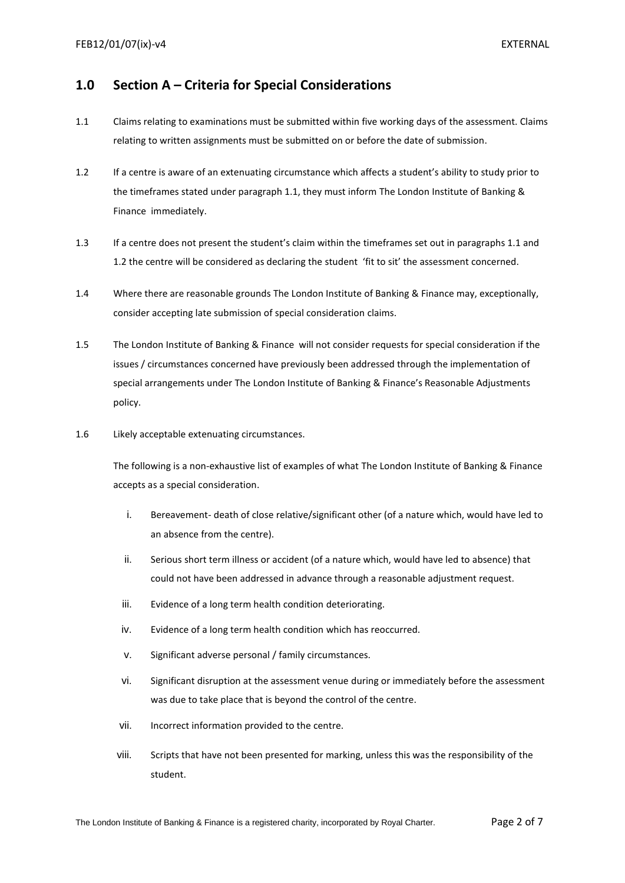## <span id="page-1-0"></span>**1.0 Section A – Criteria for Special Considerations**

- 1.1 Claims relating to examinations must be submitted within five working days of the assessment. Claims relating to written assignments must be submitted on or before the date of submission.
- 1.2 If a centre is aware of an extenuating circumstance which affects a student's ability to study prior to the timeframes stated under paragraph 1.1, they must inform The London Institute of Banking & Finance immediately.
- 1.3 If a centre does not present the student's claim within the timeframes set out in paragraphs 1.1 and 1.2 the centre will be considered as declaring the student 'fit to sit' the assessment concerned.
- 1.4 Where there are reasonable grounds The London Institute of Banking & Finance may, exceptionally, consider accepting late submission of special consideration claims.
- 1.5 The London Institute of Banking & Finance will not consider requests for special consideration if the issues / circumstances concerned have previously been addressed through the implementation of special arrangements under The London Institute of Banking & Finance's Reasonable Adjustments policy.
- 1.6 Likely acceptable extenuating circumstances.

The following is a non-exhaustive list of examples of what The London Institute of Banking & Finance accepts as a special consideration.

- i. Bereavement- death of close relative/significant other (of a nature which, would have led to an absence from the centre).
- ii. Serious short term illness or accident (of a nature which, would have led to absence) that could not have been addressed in advance through a reasonable adjustment request.
- iii. Evidence of a long term health condition deteriorating.
- iv. Evidence of a long term health condition which has reoccurred.
- v. Significant adverse personal / family circumstances.
- vi. Significant disruption at the assessment venue during or immediately before the assessment was due to take place that is beyond the control of the centre.
- vii. Incorrect information provided to the centre.
- viii. Scripts that have not been presented for marking, unless this was the responsibility of the student.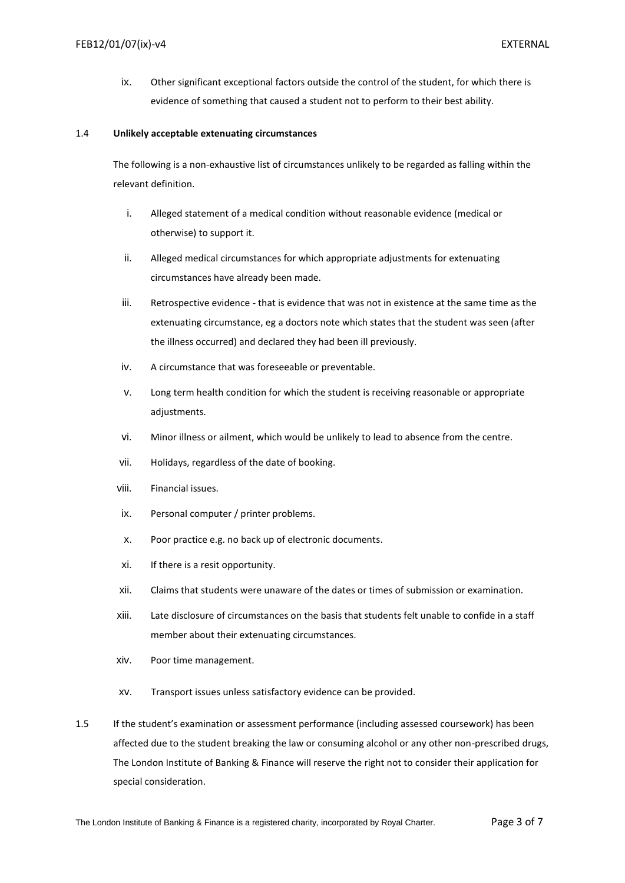ix. Other significant exceptional factors outside the control of the student, for which there is evidence of something that caused a student not to perform to their best ability.

#### 1.4 **Unlikely acceptable extenuating circumstances**

The following is a non-exhaustive list of circumstances unlikely to be regarded as falling within the relevant definition.

- i. Alleged statement of a medical condition without reasonable evidence (medical or otherwise) to support it.
- ii. Alleged medical circumstances for which appropriate adjustments for extenuating circumstances have already been made.
- iii. Retrospective evidence that is evidence that was not in existence at the same time as the extenuating circumstance, eg a doctors note which states that the student was seen (after the illness occurred) and declared they had been ill previously.
- iv. A circumstance that was foreseeable or preventable.
- v. Long term health condition for which the student is receiving reasonable or appropriate adjustments.
- vi. Minor illness or ailment, which would be unlikely to lead to absence from the centre.
- vii. Holidays, regardless of the date of booking.
- viii. Financial issues.
- ix. Personal computer / printer problems.
- x. Poor practice e.g. no back up of electronic documents.
- xi. If there is a resit opportunity.
- xii. Claims that students were unaware of the dates or times of submission or examination.
- xiii. Late disclosure of circumstances on the basis that students felt unable to confide in a staff member about their extenuating circumstances.
- xiv. Poor time management.
- xv. Transport issues unless satisfactory evidence can be provided.
- 1.5 If the student's examination or assessment performance (including assessed coursework) has been affected due to the student breaking the law or consuming alcohol or any other non-prescribed drugs, The London Institute of Banking & Finance will reserve the right not to consider their application for special consideration.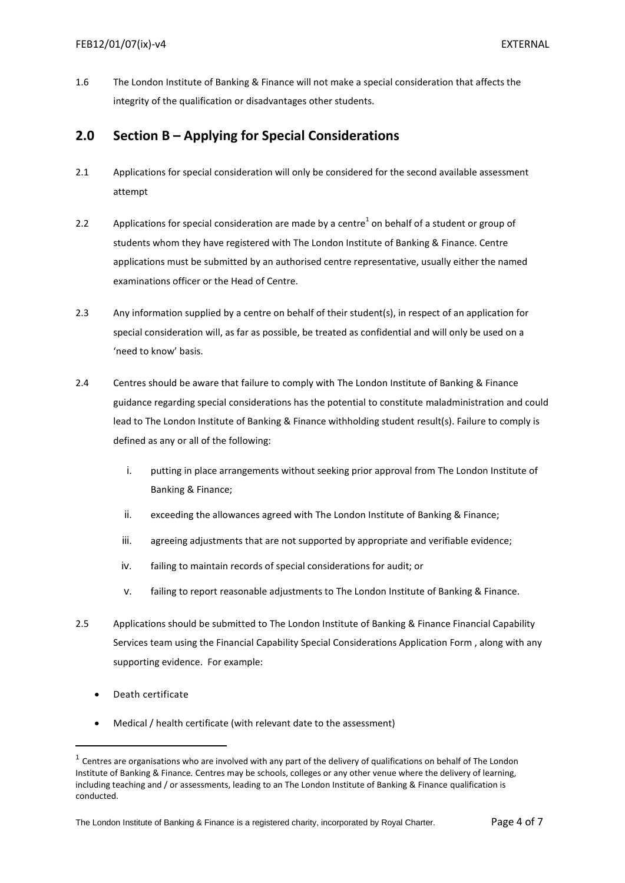1.6The London Institute of Banking & Finance will not make a special consideration that affects the integrity of the qualification or disadvantages other students.

## <span id="page-3-0"></span>**2.0 Section B – Applying for Special Considerations**

- 2.1 Applications for special consideration will only be considered for the second available assessment attempt
- 2.2 Applications for special consideration are made by a centre<sup>1</sup> on behalf of a student or group of students whom they have registered with The London Institute of Banking & Finance. Centre applications must be submitted by an authorised centre representative, usually either the named examinations officer or the Head of Centre.
- 2.3 Any information supplied by a centre on behalf of their student(s), in respect of an application for special consideration will, as far as possible, be treated as confidential and will only be used on a 'need to know' basis.
- 2.4 Centres should be aware that failure to comply with The London Institute of Banking & Finance guidance regarding special considerations has the potential to constitute maladministration and could lead to The London Institute of Banking & Finance withholding student result(s). Failure to comply is defined as any or all of the following:
	- i. putting in place arrangements without seeking prior approval from The London Institute of Banking & Finance;
	- ii. exceeding the allowances agreed with The London Institute of Banking & Finance;
	- iii. agreeing adjustments that are not supported by appropriate and verifiable evidence;
	- iv. failing to maintain records of special considerations for audit; or
	- v. failing to report reasonable adjustments to The London Institute of Banking & Finance.
- 2.5 Applications should be submitted to The London Institute of Banking & Finance Financial Capability Services team using the Financial Capability Special Considerations Application Form , along with any supporting evidence. For example:
	- Death certificate

Medical / health certificate (with relevant date to the assessment)

 $1$  Centres are organisations who are involved with any part of the delivery of qualifications on behalf of The London Institute of Banking & Finance*.* Centres may be schools, colleges or any other venue where the delivery of learning, including teaching and / or assessments, leading to an The London Institute of Banking & Finance qualification is conducted.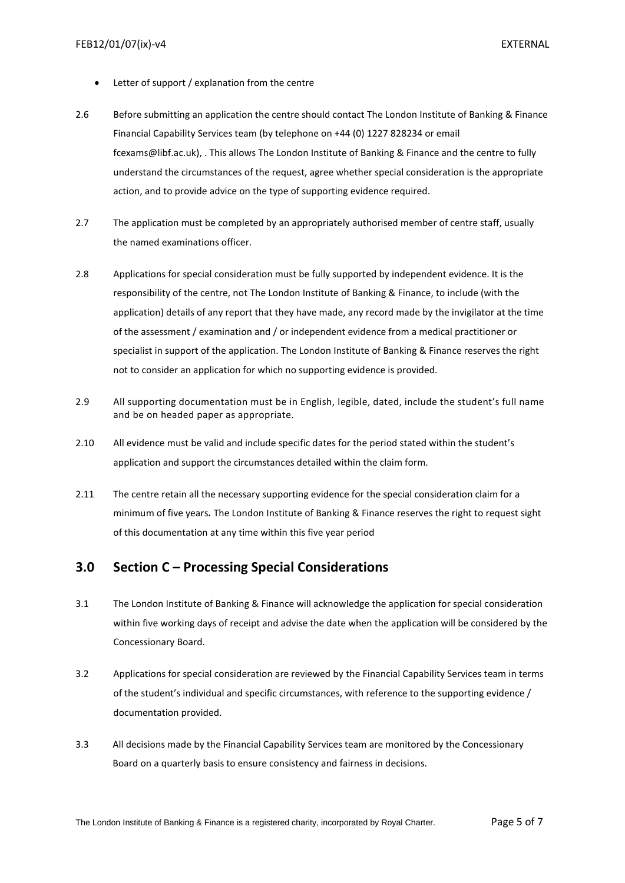- Letter of support / explanation from the centre
- 2.6 Before submitting an application the centre should contact The London Institute of Banking & Finance Financial Capability Services team (by telephone on +44 (0) 1227 828234 or email fcexams@libf.ac.uk), . This allows The London Institute of Banking & Finance and the centre to fully understand the circumstances of the request, agree whether special consideration is the appropriate action, and to provide advice on the type of supporting evidence required.
- 2.7 The application must be completed by an appropriately authorised member of centre staff, usually the named examinations officer.
- 2.8 Applications for special consideration must be fully supported by independent evidence. It is the responsibility of the centre, not The London Institute of Banking & Finance, to include (with the application) details of any report that they have made, any record made by the invigilator at the time of the assessment / examination and / or independent evidence from a medical practitioner or specialist in support of the application. The London Institute of Banking & Finance reserves the right not to consider an application for which no supporting evidence is provided.
- 2.9 All supporting documentation must be in English, legible, dated, include the student's full name and be on headed paper as appropriate.
- 2.10 All evidence must be valid and include specific dates for the period stated within the student's application and support the circumstances detailed within the claim form.
- 2.11 The centre retain all the necessary supporting evidence for the special consideration claim for a minimum of five years*.* The London Institute of Banking & Finance reserves the right to request sight of this documentation at any time within this five year period

### <span id="page-4-0"></span>**3.0 Section C – Processing Special Considerations**

- 3.1 The London Institute of Banking & Finance will acknowledge the application for special consideration within five working days of receipt and advise the date when the application will be considered by the Concessionary Board.
- 3.2 Applications for special consideration are reviewed by the Financial Capability Services team in terms of the student's individual and specific circumstances, with reference to the supporting evidence / documentation provided.
- 3.3 All decisions made by the Financial Capability Services team are monitored by the Concessionary Board on a quarterly basis to ensure consistency and fairness in decisions.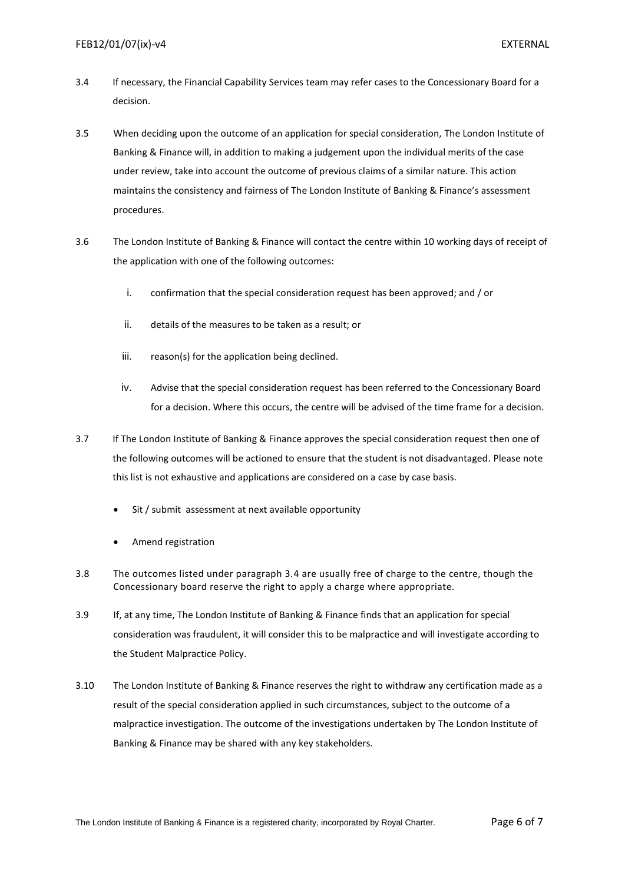- 3.4 If necessary, the Financial Capability Services team may refer cases to the Concessionary Board for a decision.
- 3.5 When deciding upon the outcome of an application for special consideration, The London Institute of Banking & Finance will, in addition to making a judgement upon the individual merits of the case under review, take into account the outcome of previous claims of a similar nature. This action maintains the consistency and fairness of The London Institute of Banking & Finance's assessment procedures.
- 3.6 The London Institute of Banking & Finance will contact the centre within 10 working days of receipt of the application with one of the following outcomes:
	- i. confirmation that the special consideration request has been approved; and / or
	- ii. details of the measures to be taken as a result; or
	- iii. reason(s) for the application being declined.
	- iv. Advise that the special consideration request has been referred to the Concessionary Board for a decision. Where this occurs, the centre will be advised of the time frame for a decision.
- 3.7 If The London Institute of Banking & Finance approves the special consideration request then one of the following outcomes will be actioned to ensure that the student is not disadvantaged. Please note this list is not exhaustive and applications are considered on a case by case basis.
	- Sit / submit assessment at next available opportunity
	- Amend registration
- 3.8 The outcomes listed under paragraph 3.4 are usually free of charge to the centre, though the Concessionary board reserve the right to apply a charge where appropriate.
- 3.9 If, at any time, The London Institute of Banking & Finance finds that an application for special consideration was fraudulent, it will consider this to be malpractice and will investigate according to the Student Malpractice Policy.
- <span id="page-5-0"></span>3.10 The London Institute of Banking & Finance reserves the right to withdraw any certification made as a result of the special consideration applied in such circumstances, subject to the outcome of a malpractice investigation. The outcome of the investigations undertaken by The London Institute of Banking & Finance may be shared with any key stakeholders.